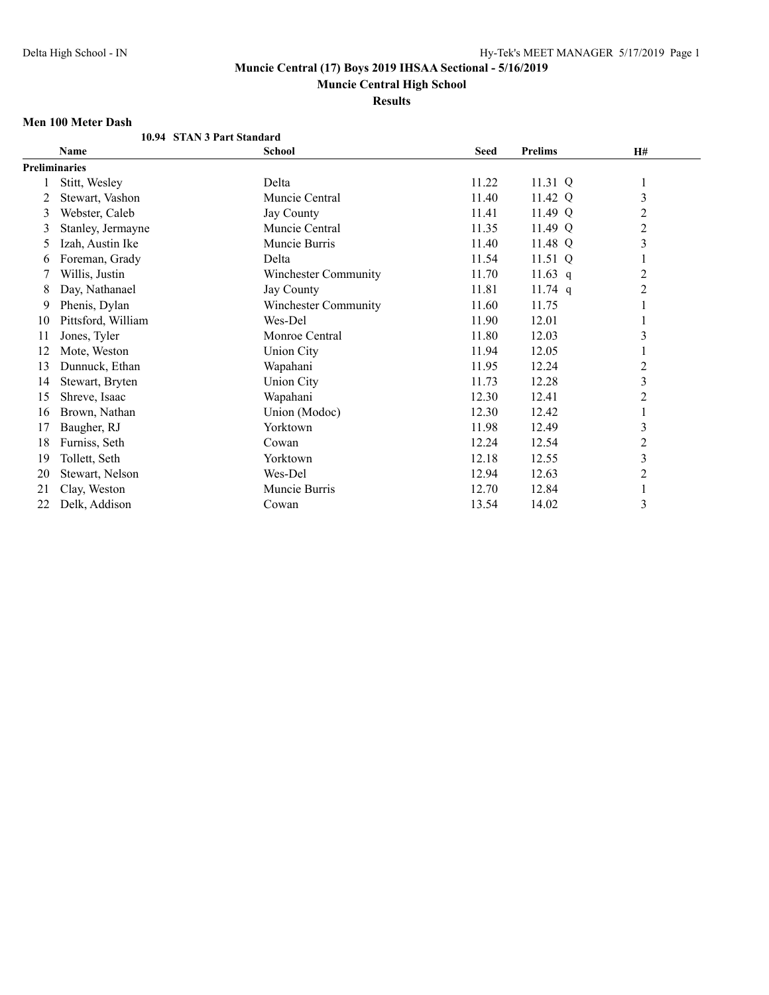**Muncie Central High School**

**Results**

#### **Men 100 Meter Dash**

|    | ivien tuu ivietef dasii |                            |             |                |                         |  |
|----|-------------------------|----------------------------|-------------|----------------|-------------------------|--|
|    |                         | 10.94 STAN 3 Part Standard |             |                |                         |  |
|    | Name                    | <b>School</b>              | <b>Seed</b> | <b>Prelims</b> | H#                      |  |
|    | <b>Preliminaries</b>    |                            |             |                |                         |  |
|    | Stitt, Wesley           | Delta                      | 11.22       | 11.31 Q        | 1                       |  |
|    | Stewart, Vashon         | Muncie Central             | 11.40       | 11.42 Q        | 3                       |  |
| 3  | Webster, Caleb          | Jay County                 | 11.41       | 11.49 Q        | $\overline{c}$          |  |
| 3  | Stanley, Jermayne       | Muncie Central             | 11.35       | 11.49 Q        | $\overline{c}$          |  |
| 5  | Izah, Austin Ike        | Muncie Burris              | 11.40       | 11.48 Q        | 3                       |  |
| 6  | Foreman, Grady          | Delta                      | 11.54       | 11.51 Q        | 1                       |  |
|    | Willis, Justin          | Winchester Community       | 11.70       | 11.63 $q$      | $\overline{c}$          |  |
| 8  | Day, Nathanael          | <b>Jay County</b>          | 11.81       | $11.74$ q      | 2                       |  |
| 9  | Phenis, Dylan           | Winchester Community       | 11.60       | 11.75          |                         |  |
| 10 | Pittsford, William      | Wes-Del                    | 11.90       | 12.01          | 1                       |  |
| 11 | Jones, Tyler            | Monroe Central             | 11.80       | 12.03          | 3                       |  |
| 12 | Mote, Weston            | <b>Union City</b>          | 11.94       | 12.05          | 1                       |  |
| 13 | Dunnuck, Ethan          | Wapahani                   | 11.95       | 12.24          | $\overline{c}$          |  |
| 14 | Stewart, Bryten         | <b>Union City</b>          | 11.73       | 12.28          | $\overline{\mathbf{3}}$ |  |
| 15 | Shreve, Isaac           | Wapahani                   | 12.30       | 12.41          | $\overline{c}$          |  |
| 16 | Brown, Nathan           | Union (Modoc)              | 12.30       | 12.42          | 1                       |  |
| 17 | Baugher, RJ             | Yorktown                   | 11.98       | 12.49          | 3                       |  |
| 18 | Furniss, Seth           | Cowan                      | 12.24       | 12.54          | $\sqrt{2}$              |  |
| 19 | Tollett, Seth           | Yorktown                   | 12.18       | 12.55          | 3                       |  |
| 20 | Stewart, Nelson         | Wes-Del                    | 12.94       | 12.63          | $\overline{2}$          |  |
| 21 | Clay, Weston            | Muncie Burris              | 12.70       | 12.84          | 1                       |  |
| 22 | Delk, Addison           | Cowan                      | 13.54       | 14.02          | 3                       |  |
|    |                         |                            |             |                |                         |  |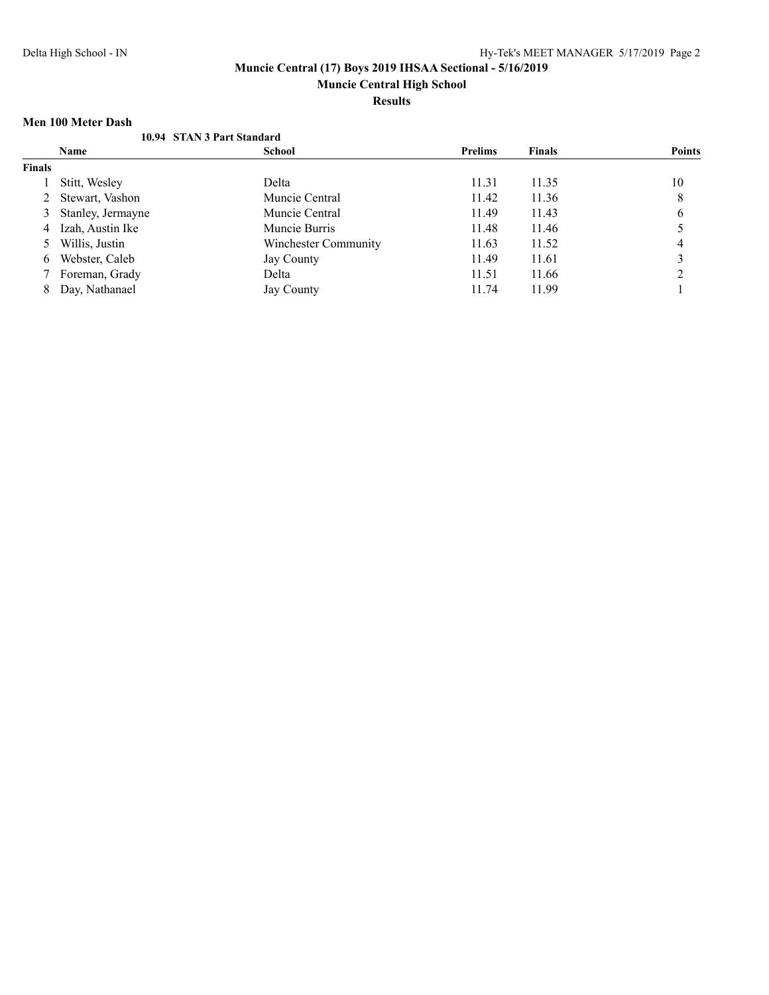**Muncie Central High School**

**Results**

### **Men 100 Meter Dash**

|               | 10.94 STAN 3 Part Standard |                      |                |               |               |
|---------------|----------------------------|----------------------|----------------|---------------|---------------|
|               | <b>Name</b>                | <b>School</b>        | <b>Prelims</b> | <b>Finals</b> | <b>Points</b> |
| <b>Finals</b> |                            |                      |                |               |               |
|               | Stitt, Wesley              | Delta                | 11.31          | 11.35         | 10            |
|               | Stewart, Vashon            | Muncie Central       | 11.42          | 11.36         | 8             |
|               | Stanley, Jermayne          | Muncie Central       | 11.49          | 11.43         | 6             |
| 4             | Izah, Austin Ike           | Muncie Burris        | 11.48          | 11.46         |               |
|               | Willis, Justin             | Winchester Community | 11.63          | 11.52         | 4             |
| 6             | Webster, Caleb             | Jay County           | 11.49          | 11.61         |               |
|               | Foreman, Grady             | Delta                | 11.51          | 11.66         |               |
| 8             | Day, Nathanael             | Jay County           | 11.74          | 11.99         |               |
|               |                            |                      |                |               |               |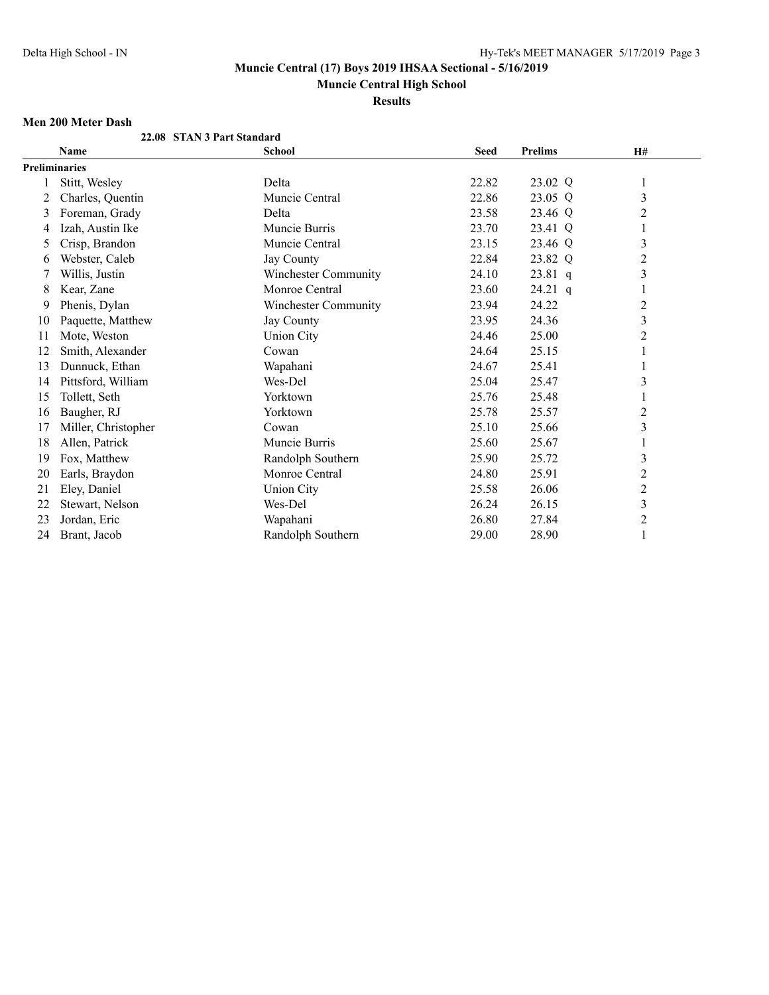**Muncie Central High School**

**Results**

## **Men 200 Meter Dash**

|    | ivien zuu ivietef dasii |                            |             |                |                         |  |
|----|-------------------------|----------------------------|-------------|----------------|-------------------------|--|
|    |                         | 22.08 STAN 3 Part Standard |             |                |                         |  |
|    | <b>Name</b>             | <b>School</b>              | <b>Seed</b> | <b>Prelims</b> | H#                      |  |
|    | <b>Preliminaries</b>    |                            |             |                |                         |  |
|    | Stitt, Wesley           | Delta                      | 22.82       | 23.02 Q        | 1                       |  |
| 2  | Charles, Quentin        | Muncie Central             | 22.86       | 23.05 Q        | 3                       |  |
| 3  | Foreman, Grady          | Delta                      | 23.58       | 23.46 Q        | $\overline{c}$          |  |
| 4  | Izah, Austin Ike        | Muncie Burris              | 23.70       | 23.41 Q        | 1                       |  |
| 5  | Crisp, Brandon          | Muncie Central             | 23.15       | 23.46 Q        | $\mathfrak{Z}$          |  |
| 6  | Webster, Caleb          | <b>Jay County</b>          | 22.84       | 23.82 Q        | $\overline{c}$          |  |
|    | Willis, Justin          | Winchester Community       | 24.10       | $23.81$ q      | 3                       |  |
| 8  | Kear, Zane              | Monroe Central             | 23.60       | 24.21 q        | 1                       |  |
| 9  | Phenis, Dylan           | Winchester Community       | 23.94       | 24.22          | $\overline{2}$          |  |
| 10 | Paquette, Matthew       | Jay County                 | 23.95       | 24.36          | $\mathfrak{Z}$          |  |
| 11 | Mote, Weston            | <b>Union City</b>          | 24.46       | 25.00          | $\overline{c}$          |  |
| 12 | Smith, Alexander        | Cowan                      | 24.64       | 25.15          |                         |  |
| 13 | Dunnuck, Ethan          | Wapahani                   | 24.67       | 25.41          |                         |  |
| 14 | Pittsford, William      | Wes-Del                    | 25.04       | 25.47          | $\mathfrak{Z}$          |  |
| 15 | Tollett, Seth           | Yorktown                   | 25.76       | 25.48          |                         |  |
| 16 | Baugher, RJ             | Yorktown                   | 25.78       | 25.57          | $\overline{2}$          |  |
| 17 | Miller, Christopher     | Cowan                      | 25.10       | 25.66          | $\overline{\mathbf{3}}$ |  |
| 18 | Allen, Patrick          | Muncie Burris              | 25.60       | 25.67          |                         |  |
| 19 | Fox, Matthew            | Randolph Southern          | 25.90       | 25.72          | $\mathfrak{Z}$          |  |
| 20 | Earls, Braydon          | Monroe Central             | 24.80       | 25.91          | 2                       |  |
| 21 | Eley, Daniel            | <b>Union City</b>          | 25.58       | 26.06          | $\overline{c}$          |  |
| 22 | Stewart, Nelson         | Wes-Del                    | 26.24       | 26.15          | $\mathfrak{Z}$          |  |
| 23 | Jordan, Eric            | Wapahani                   | 26.80       | 27.84          | $\overline{c}$          |  |
| 24 | Brant, Jacob            | Randolph Southern          | 29.00       | 28.90          | 1                       |  |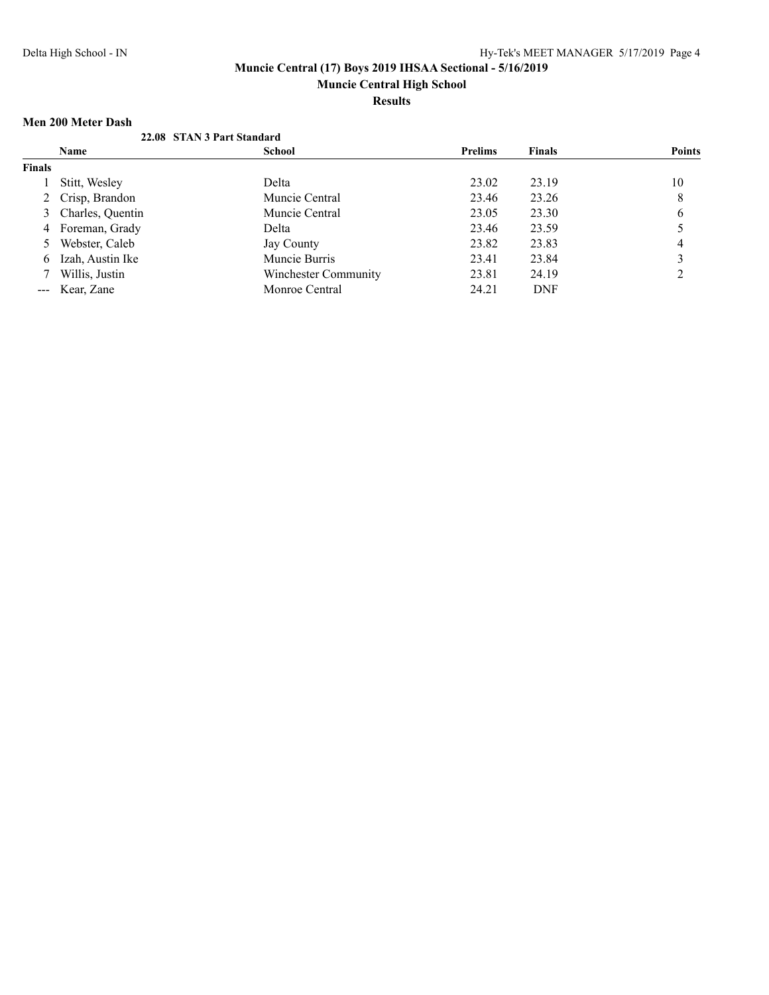# **Muncie Central High School**

**Results**

## **Men 200 Meter Dash**

|                                                                                                                                                                                                                                                                                                                                                                                              | IVIEIL ZWI IVIELEL IZASIL |                            |                |               |               |
|----------------------------------------------------------------------------------------------------------------------------------------------------------------------------------------------------------------------------------------------------------------------------------------------------------------------------------------------------------------------------------------------|---------------------------|----------------------------|----------------|---------------|---------------|
|                                                                                                                                                                                                                                                                                                                                                                                              |                           | 22.08 STAN 3 Part Standard |                |               |               |
|                                                                                                                                                                                                                                                                                                                                                                                              | <b>Name</b>               | School                     | <b>Prelims</b> | <b>Finals</b> | <b>Points</b> |
| <b>Finals</b>                                                                                                                                                                                                                                                                                                                                                                                |                           |                            |                |               |               |
|                                                                                                                                                                                                                                                                                                                                                                                              | Stitt, Wesley             | Delta                      | 23.02          | 23.19         | 10            |
|                                                                                                                                                                                                                                                                                                                                                                                              | 2 Crisp, Brandon          | Muncie Central             | 23.46          | 23.26         | 8             |
|                                                                                                                                                                                                                                                                                                                                                                                              | 3 Charles, Quentin        | Muncie Central             | 23.05          | 23.30         | 6             |
| 4                                                                                                                                                                                                                                                                                                                                                                                            | Foreman, Grady            | Delta                      | 23.46          | 23.59         |               |
|                                                                                                                                                                                                                                                                                                                                                                                              | Webster, Caleb            | Jay County                 | 23.82          | 23.83         | 4             |
| 6                                                                                                                                                                                                                                                                                                                                                                                            | Izah, Austin Ike          | Muncie Burris              | 23.41          | 23.84         |               |
|                                                                                                                                                                                                                                                                                                                                                                                              | Willis, Justin            | Winchester Community       | 23.81          | 24.19         | ↑             |
| $\frac{1}{2} \frac{1}{2} \frac{1}{2} \frac{1}{2} \frac{1}{2} \frac{1}{2} \frac{1}{2} \frac{1}{2} \frac{1}{2} \frac{1}{2} \frac{1}{2} \frac{1}{2} \frac{1}{2} \frac{1}{2} \frac{1}{2} \frac{1}{2} \frac{1}{2} \frac{1}{2} \frac{1}{2} \frac{1}{2} \frac{1}{2} \frac{1}{2} \frac{1}{2} \frac{1}{2} \frac{1}{2} \frac{1}{2} \frac{1}{2} \frac{1}{2} \frac{1}{2} \frac{1}{2} \frac{1}{2} \frac{$ | Kear, Zane                | Monroe Central             | 24.21          | <b>DNF</b>    |               |
|                                                                                                                                                                                                                                                                                                                                                                                              |                           |                            |                |               |               |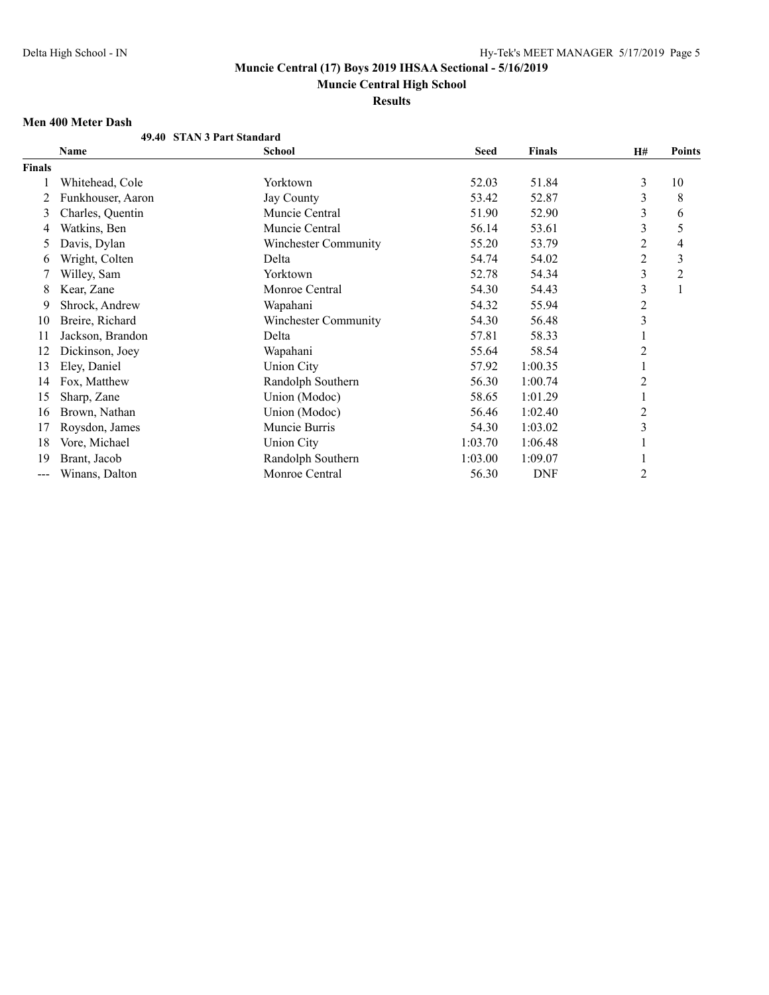**Muncie Central High School**

**Results**

## **Men 400 Meter Dash**

| Name              | <b>School</b>               | Seed                       | <b>Finals</b> | H#             | <b>Points</b> |
|-------------------|-----------------------------|----------------------------|---------------|----------------|---------------|
|                   |                             |                            |               |                |               |
| Whitehead, Cole   | Yorktown                    | 52.03                      | 51.84         | 3              | 10            |
| Funkhouser, Aaron | Jay County                  | 53.42                      | 52.87         | 3              | 8             |
| Charles, Quentin  | Muncie Central              | 51.90                      | 52.90         | 3              | 6             |
| Watkins, Ben      | Muncie Central              | 56.14                      | 53.61         | 3              | 5             |
| Davis, Dylan      | <b>Winchester Community</b> | 55.20                      | 53.79         | 2              | 4             |
| Wright, Colten    | Delta                       | 54.74                      | 54.02         | $\overline{c}$ | 3             |
| Willey, Sam       | Yorktown                    | 52.78                      | 54.34         | 3              | 2             |
| Kear, Zane        | Monroe Central              | 54.30                      | 54.43         | 3              | 1             |
| Shrock, Andrew    | Wapahani                    | 54.32                      | 55.94         | $\overline{c}$ |               |
| Breire, Richard   | <b>Winchester Community</b> | 54.30                      | 56.48         | 3              |               |
| Jackson, Brandon  | Delta                       | 57.81                      | 58.33         |                |               |
| Dickinson, Joey   | Wapahani                    | 55.64                      | 58.54         | 2              |               |
| Eley, Daniel      | <b>Union City</b>           | 57.92                      | 1:00.35       | 1              |               |
| Fox, Matthew      | Randolph Southern           | 56.30                      | 1:00.74       | $\overline{c}$ |               |
| Sharp, Zane       | Union (Modoc)               | 58.65                      | 1:01.29       |                |               |
| Brown, Nathan     | Union (Modoc)               | 56.46                      | 1:02.40       | 2              |               |
| Roysdon, James    | Muncie Burris               | 54.30                      | 1:03.02       | 3              |               |
| Vore, Michael     | <b>Union City</b>           | 1:03.70                    | 1:06.48       |                |               |
| Brant, Jacob      | Randolph Southern           | 1:03.00                    | 1:09.07       |                |               |
| Winans, Dalton    | Monroe Central              | 56.30                      | <b>DNF</b>    | $\overline{c}$ |               |
|                   | ivieli 400 ivielef d'asil   | 49.40 STAN 3 Part Standard |               |                |               |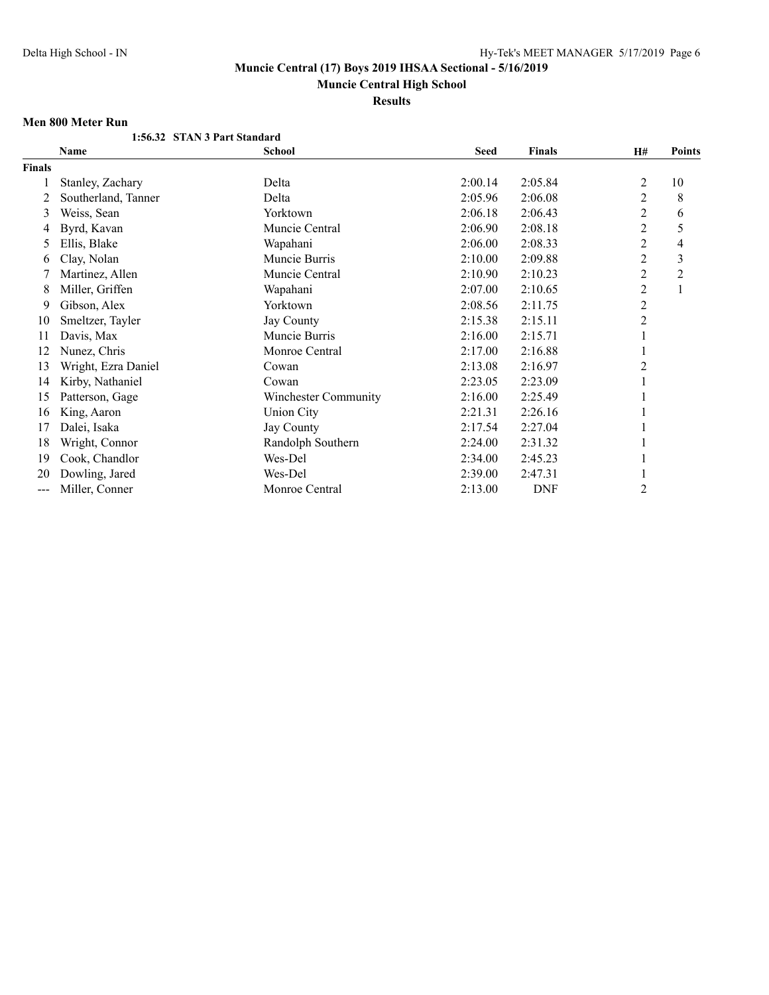**Muncie Central High School**

**Results**

### **Men 800 Meter Run**

|        | 1:56.32 STAN 3 Part Standard |                      |             |               |                |                |
|--------|------------------------------|----------------------|-------------|---------------|----------------|----------------|
|        | <b>Name</b>                  | <b>School</b>        | <b>Seed</b> | <b>Finals</b> | H#             | Points         |
| Finals |                              |                      |             |               |                |                |
|        | Stanley, Zachary             | Delta                | 2:00.14     | 2:05.84       | 2              | 10             |
| 2      | Southerland, Tanner          | Delta                | 2:05.96     | 2:06.08       | 2              | 8              |
| 3      | Weiss, Sean                  | Yorktown             | 2:06.18     | 2:06.43       | $\overline{c}$ | 6              |
| 4      | Byrd, Kavan                  | Muncie Central       | 2:06.90     | 2:08.18       | $\overline{c}$ | 5              |
| 5      | Ellis, Blake                 | Wapahani             | 2:06.00     | 2:08.33       | $\overline{c}$ | 4              |
| 6      | Clay, Nolan                  | Muncie Burris        | 2:10.00     | 2:09.88       | 2              | 3              |
|        | Martinez, Allen              | Muncie Central       | 2:10.90     | 2:10.23       | 2              | $\overline{c}$ |
| 8      | Miller, Griffen              | Wapahani             | 2:07.00     | 2:10.65       | 2              | $\mathbf{1}$   |
| 9      | Gibson, Alex                 | Yorktown             | 2:08.56     | 2:11.75       | 2              |                |
| 10     | Smeltzer, Tayler             | Jay County           | 2:15.38     | 2:15.11       | $\overline{2}$ |                |
| 11     | Davis, Max                   | Muncie Burris        | 2:16.00     | 2:15.71       |                |                |
| 12     | Nunez, Chris                 | Monroe Central       | 2:17.00     | 2:16.88       |                |                |
| 13     | Wright, Ezra Daniel          | Cowan                | 2:13.08     | 2:16.97       | 2              |                |
| 14     | Kirby, Nathaniel             | Cowan                | 2:23.05     | 2:23.09       |                |                |
| 15     | Patterson, Gage              | Winchester Community | 2:16.00     | 2:25.49       |                |                |
| 16     | King, Aaron                  | <b>Union City</b>    | 2:21.31     | 2:26.16       |                |                |
| 17     | Dalei, Isaka                 | <b>Jay County</b>    | 2:17.54     | 2:27.04       |                |                |
| 18     | Wright, Connor               | Randolph Southern    | 2:24.00     | 2:31.32       |                |                |
| 19     | Cook, Chandlor               | Wes-Del              | 2:34.00     | 2:45.23       |                |                |
| 20     | Dowling, Jared               | Wes-Del              | 2:39.00     | 2:47.31       |                |                |
| ---    | Miller, Conner               | Monroe Central       | 2:13.00     | <b>DNF</b>    | 2              |                |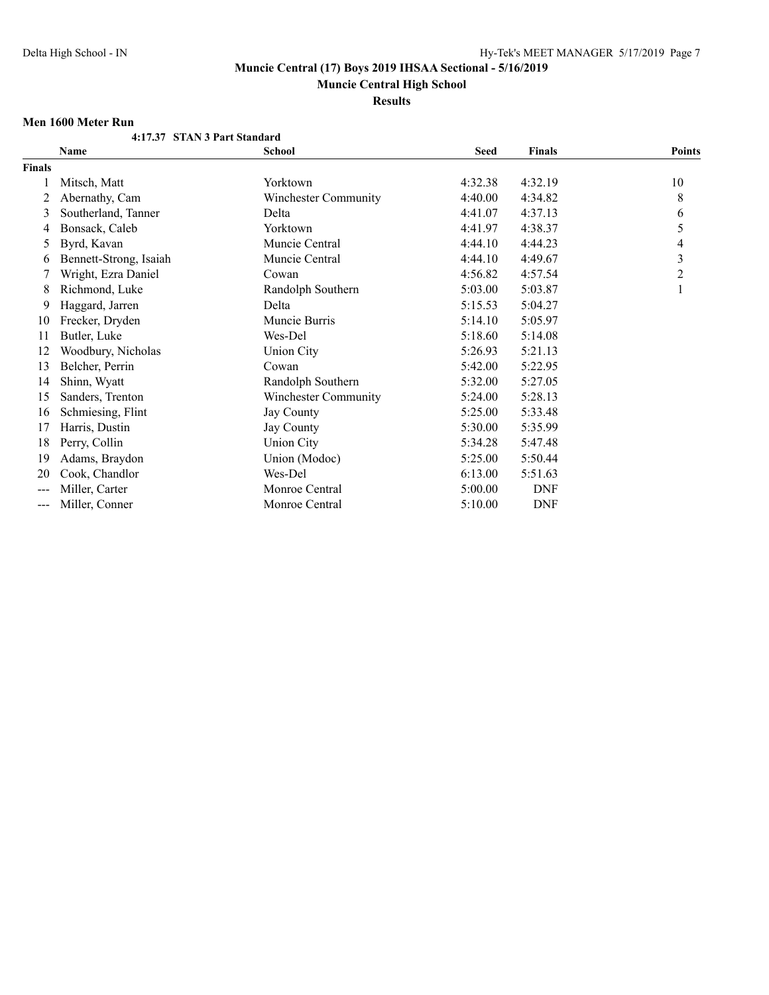**Muncie Central High School**

**Results**

### **Men 1600 Meter Run**

|               | 4:17.37 STAN 3 Part Standard |                      |             |               |               |
|---------------|------------------------------|----------------------|-------------|---------------|---------------|
|               | Name                         | School               | <b>Seed</b> | <b>Finals</b> | <b>Points</b> |
| <b>Finals</b> |                              |                      |             |               |               |
|               | Mitsch, Matt                 | Yorktown             | 4:32.38     | 4:32.19       | 10            |
| 2             | Abernathy, Cam               | Winchester Community | 4:40.00     | 4:34.82       | 8             |
| 3             | Southerland, Tanner          | Delta                | 4:41.07     | 4:37.13       | 6             |
| 4             | Bonsack, Caleb               | Yorktown             | 4:41.97     | 4:38.37       | 5             |
| 5             | Byrd, Kavan                  | Muncie Central       | 4:44.10     | 4:44.23       | 4             |
| 6             | Bennett-Strong, Isaiah       | Muncie Central       | 4:44.10     | 4:49.67       | 3             |
| 7             | Wright, Ezra Daniel          | Cowan                | 4:56.82     | 4:57.54       | 2             |
| 8             | Richmond, Luke               | Randolph Southern    | 5:03.00     | 5:03.87       | 1             |
| 9             | Haggard, Jarren              | Delta                | 5:15.53     | 5:04.27       |               |
| 10            | Frecker, Dryden              | Muncie Burris        | 5:14.10     | 5:05.97       |               |
| 11            | Butler, Luke                 | Wes-Del              | 5:18.60     | 5:14.08       |               |
| 12            | Woodbury, Nicholas           | <b>Union City</b>    | 5:26.93     | 5:21.13       |               |
| 13            | Belcher, Perrin              | Cowan                | 5:42.00     | 5:22.95       |               |
| 14            | Shinn, Wyatt                 | Randolph Southern    | 5:32.00     | 5:27.05       |               |
| 15            | Sanders, Trenton             | Winchester Community | 5:24.00     | 5:28.13       |               |
| 16            | Schmiesing, Flint            | Jay County           | 5:25.00     | 5:33.48       |               |
| 17            | Harris, Dustin               | Jay County           | 5:30.00     | 5:35.99       |               |
| 18            | Perry, Collin                | <b>Union City</b>    | 5:34.28     | 5:47.48       |               |
| 19            | Adams, Braydon               | Union (Modoc)        | 5:25.00     | 5:50.44       |               |
| 20            | Cook, Chandlor               | Wes-Del              | 6:13.00     | 5:51.63       |               |
| ---           | Miller, Carter               | Monroe Central       | 5:00.00     | <b>DNF</b>    |               |
| ---           | Miller, Conner               | Monroe Central       | 5:10.00     | <b>DNF</b>    |               |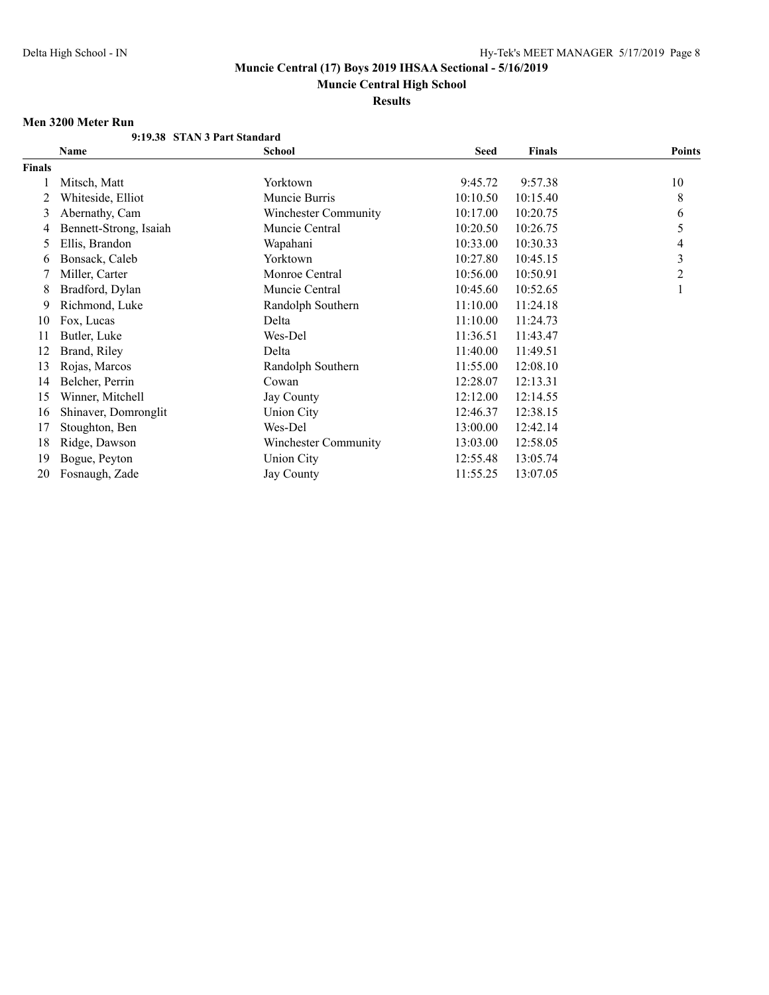**Muncie Central High School**

**Results**

#### **Men 3200 Meter Run**

|               | 9:19.38 STAN 3 Part Standard |                      |             |               |                |
|---------------|------------------------------|----------------------|-------------|---------------|----------------|
|               | Name                         | <b>School</b>        | <b>Seed</b> | <b>Finals</b> | <b>Points</b>  |
| <b>Finals</b> |                              |                      |             |               |                |
|               | Mitsch, Matt                 | Yorktown             | 9:45.72     | 9:57.38       | 10             |
| 2             | Whiteside, Elliot            | Muncie Burris        | 10:10.50    | 10:15.40      | 8              |
| 3             | Abernathy, Cam               | Winchester Community | 10:17.00    | 10:20.75      | 6              |
| 4             | Bennett-Strong, Isaiah       | Muncie Central       | 10:20.50    | 10:26.75      | 5              |
| 5             | Ellis, Brandon               | Wapahani             | 10:33.00    | 10:30.33      | 4              |
| 6             | Bonsack, Caleb               | Yorktown             | 10:27.80    | 10:45.15      | 3              |
|               | Miller, Carter               | Monroe Central       | 10:56.00    | 10:50.91      | $\overline{c}$ |
| 8             | Bradford, Dylan              | Muncie Central       | 10:45.60    | 10:52.65      |                |
| 9             | Richmond, Luke               | Randolph Southern    | 11:10.00    | 11:24.18      |                |
| 10            | Fox, Lucas                   | Delta                | 11:10.00    | 11:24.73      |                |
| 11            | Butler, Luke                 | Wes-Del              | 11:36.51    | 11:43.47      |                |
| 12            | Brand, Riley                 | Delta                | 11:40.00    | 11:49.51      |                |
| 13            | Rojas, Marcos                | Randolph Southern    | 11:55.00    | 12:08.10      |                |
| 14            | Belcher, Perrin              | Cowan                | 12:28.07    | 12:13.31      |                |
| 15            | Winner, Mitchell             | Jay County           | 12:12.00    | 12:14.55      |                |
| 16            | Shinaver, Domronglit         | <b>Union City</b>    | 12:46.37    | 12:38.15      |                |
| 17            | Stoughton, Ben               | Wes-Del              | 13:00.00    | 12:42.14      |                |
| 18            | Ridge, Dawson                | Winchester Community | 13:03.00    | 12:58.05      |                |
| 19            | Bogue, Peyton                | Union City           | 12:55.48    | 13:05.74      |                |
| 20            | Fosnaugh, Zade               | <b>Jay County</b>    | 11:55.25    | 13:07.05      |                |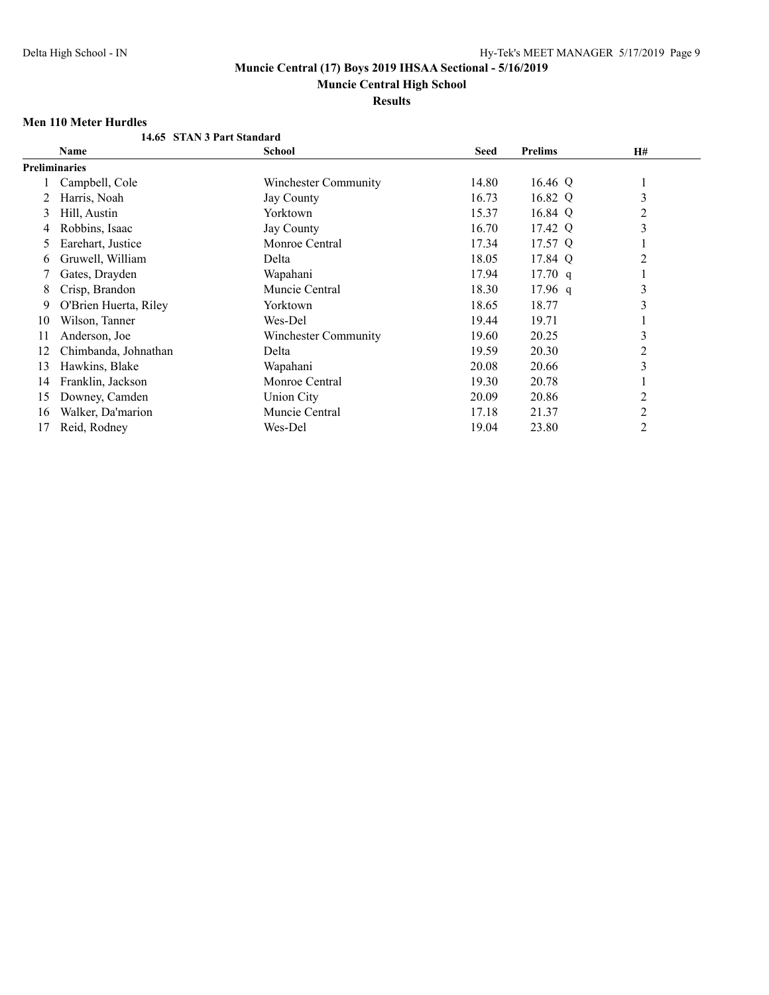**Muncie Central High School**

**Results**

## **Men 110 Meter Hurdles**

|    | 14.65 STAN 3 Part Standard |                      |             |                |                |  |
|----|----------------------------|----------------------|-------------|----------------|----------------|--|
|    | Name                       | <b>School</b>        | <b>Seed</b> | <b>Prelims</b> | <b>H#</b>      |  |
|    | <b>Preliminaries</b>       |                      |             |                |                |  |
|    | Campbell, Cole             | Winchester Community | 14.80       | 16.46 Q        |                |  |
|    | Harris, Noah               | Jay County           | 16.73       | 16.82 Q        | 3              |  |
| 3  | Hill, Austin               | Yorktown             | 15.37       | 16.84 Q        | 2              |  |
| 4  | Robbins, Isaac             | Jay County           | 16.70       | 17.42 Q        | 3              |  |
| 5  | Earehart, Justice          | Monroe Central       | 17.34       | 17.57 Q        |                |  |
| 6  | Gruwell, William           | Delta                | 18.05       | 17.84 Q        | $\overline{2}$ |  |
|    | Gates, Drayden             | Wapahani             | 17.94       | $17.70$ q      |                |  |
| 8  | Crisp, Brandon             | Muncie Central       | 18.30       | $17.96$ q      | 3              |  |
| 9  | O'Brien Huerta, Riley      | Yorktown             | 18.65       | 18.77          | 3              |  |
| 10 | Wilson, Tanner             | Wes-Del              | 19.44       | 19.71          |                |  |
| 11 | Anderson, Joe              | Winchester Community | 19.60       | 20.25          | 3              |  |
| 12 | Chimbanda, Johnathan       | Delta                | 19.59       | 20.30          | $\overline{c}$ |  |
| 13 | Hawkins, Blake             | Wapahani             | 20.08       | 20.66          | 3              |  |
| 14 | Franklin, Jackson          | Monroe Central       | 19.30       | 20.78          |                |  |
| 15 | Downey, Camden             | <b>Union City</b>    | 20.09       | 20.86          | $\overline{c}$ |  |
| 16 | Walker, Da'marion          | Muncie Central       | 17.18       | 21.37          | 2              |  |
| 17 | Reid, Rodney               | Wes-Del              | 19.04       | 23.80          | 2              |  |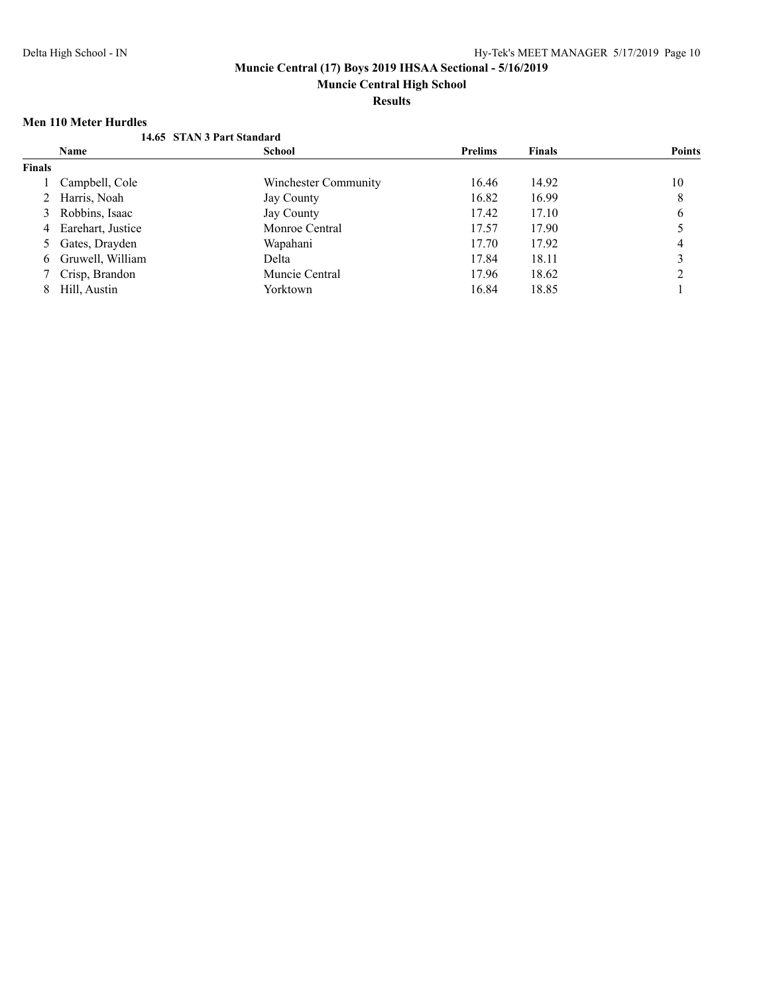**Muncie Central High School**

**Results**

## **Men 110 Meter Hurdles**

|               | nich tro micier trui uics |                            |                |               |               |
|---------------|---------------------------|----------------------------|----------------|---------------|---------------|
|               |                           | 14.65 STAN 3 Part Standard |                |               |               |
|               | Name                      | <b>School</b>              | <b>Prelims</b> | <b>Finals</b> | <b>Points</b> |
| <b>Finals</b> |                           |                            |                |               |               |
|               | Campbell, Cole            | Winchester Community       | 16.46          | 14.92         | 10            |
|               | 2 Harris, Noah            | Jay County                 | 16.82          | 16.99         | 8             |
|               | 3 Robbins, Isaac          | Jay County                 | 17.42          | 17.10         | 6             |
|               | 4 Earehart, Justice       | Monroe Central             | 17.57          | 17.90         |               |
|               | 5 Gates, Drayden          | Wapahani                   | 17.70          | 17.92         | 4             |
| 6             | Gruwell, William          | Delta                      | 17.84          | 18.11         |               |
|               | 7 Crisp, Brandon          | Muncie Central             | 17.96          | 18.62         |               |
|               | Hill, Austin              | Yorktown                   | 16.84          | 18.85         |               |
|               |                           |                            |                |               |               |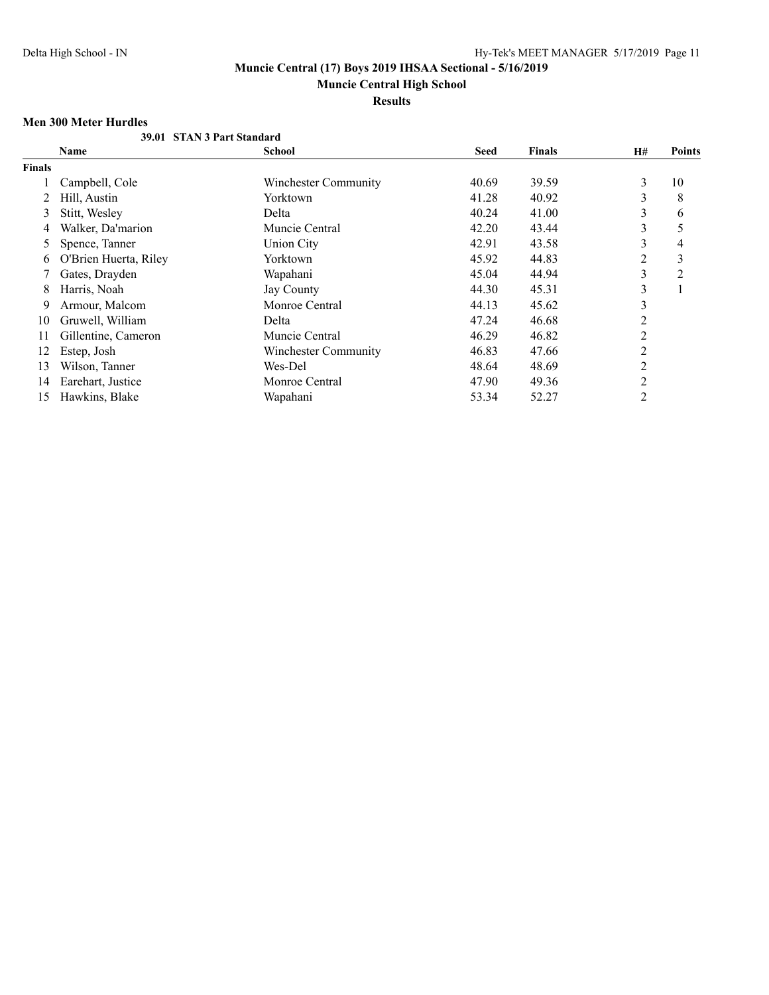**Muncie Central High School**

# **Results**

## **Men 300 Meter Hurdles**

|        | 39.01 STAN 3 Part Standard |                      |             |               |           |               |
|--------|----------------------------|----------------------|-------------|---------------|-----------|---------------|
|        | Name                       | School               | <b>Seed</b> | <b>Finals</b> | <b>H#</b> | <b>Points</b> |
| Finals |                            |                      |             |               |           |               |
|        | Campbell, Cole             | Winchester Community | 40.69       | 39.59         | 3         | 10            |
|        | Hill, Austin               | Yorktown             | 41.28       | 40.92         | 3         | 8             |
| 3      | Stitt, Wesley              | Delta                | 40.24       | 41.00         | 3         | 6             |
| 4      | Walker, Da'marion          | Muncie Central       | 42.20       | 43.44         | 3         | 5             |
| 5      | Spence, Tanner             | <b>Union City</b>    | 42.91       | 43.58         | 3         | 4             |
| 6      | O'Brien Huerta, Riley      | Yorktown             | 45.92       | 44.83         | 2         | 3             |
|        | Gates, Drayden             | Wapahani             | 45.04       | 44.94         | 3         | 2             |
| 8      | Harris, Noah               | <b>Jay County</b>    | 44.30       | 45.31         | 3         |               |
| 9      | Armour, Malcom             | Monroe Central       | 44.13       | 45.62         | 3         |               |
| 10     | Gruwell, William           | Delta                | 47.24       | 46.68         | 2         |               |
| 11     | Gillentine, Cameron        | Muncie Central       | 46.29       | 46.82         | 2         |               |
| 12     | Estep, Josh                | Winchester Community | 46.83       | 47.66         | 2         |               |
| 13     | Wilson, Tanner             | Wes-Del              | 48.64       | 48.69         | 2         |               |
| 14     | Earehart, Justice          | Monroe Central       | 47.90       | 49.36         | 2         |               |
| 15     | Hawkins, Blake             | Wapahani             | 53.34       | 52.27         | 2         |               |
|        |                            |                      |             |               |           |               |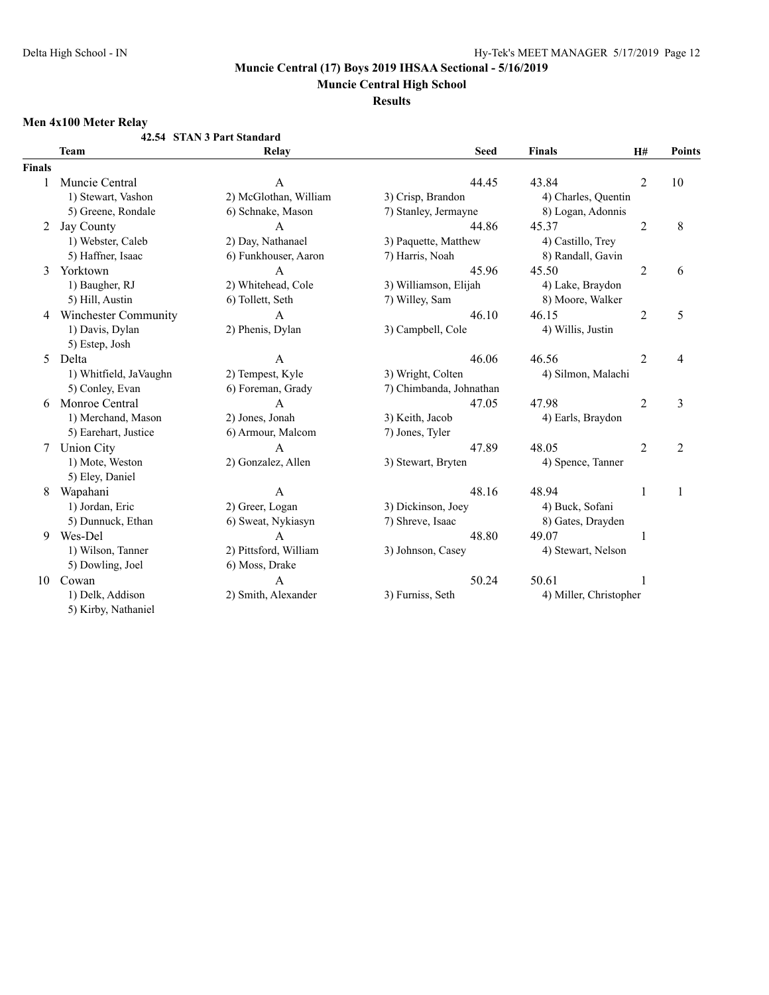**Muncie Central High School**

**Results**

# **Men 4x100 Meter Relay**

|               |                        | 42.54 STAN 3 Part Standard |                         |                        |                |                |
|---------------|------------------------|----------------------------|-------------------------|------------------------|----------------|----------------|
|               | <b>Team</b>            | Relay                      | <b>Seed</b>             | <b>Finals</b>          | H#             | <b>Points</b>  |
| <b>Finals</b> |                        |                            |                         |                        |                |                |
| 1             | Muncie Central         | A                          | 44.45                   | 43.84                  | $\overline{2}$ | 10             |
|               | 1) Stewart, Vashon     | 2) McGlothan, William      | 3) Crisp, Brandon       | 4) Charles, Quentin    |                |                |
|               | 5) Greene, Rondale     | 6) Schnake, Mason          | 7) Stanley, Jermayne    | 8) Logan, Adonnis      |                |                |
| 2             | Jay County             | A                          | 44.86                   | 45.37                  | 2              | 8              |
|               | 1) Webster, Caleb      | 2) Day, Nathanael          | 3) Paquette, Matthew    | 4) Castillo, Trey      |                |                |
|               | 5) Haffner, Isaac      | 6) Funkhouser, Aaron       | 7) Harris, Noah         | 8) Randall, Gavin      |                |                |
| 3             | Yorktown               | A                          | 45.96                   | 45.50                  | $\overline{2}$ | 6              |
|               | 1) Baugher, RJ         | 2) Whitehead, Cole         | 3) Williamson, Elijah   | 4) Lake, Braydon       |                |                |
|               | 5) Hill, Austin        | 6) Tollett, Seth           | 7) Willey, Sam          | 8) Moore, Walker       |                |                |
| 4             | Winchester Community   | A                          | 46.10                   | 46.15                  | $\overline{2}$ | 5              |
|               | 1) Davis, Dylan        | 2) Phenis, Dylan           | 3) Campbell, Cole       | 4) Willis, Justin      |                |                |
|               | 5) Estep, Josh         |                            |                         |                        |                |                |
| 5             | Delta                  | A                          | 46.06                   | 46.56                  | $\overline{2}$ | 4              |
|               | 1) Whitfield, JaVaughn | 2) Tempest, Kyle           | 3) Wright, Colten       | 4) Silmon, Malachi     |                |                |
|               | 5) Conley, Evan        | 6) Foreman, Grady          | 7) Chimbanda, Johnathan |                        |                |                |
| 6             | Monroe Central         | A                          | 47.05                   | 47.98                  | $\overline{2}$ | 3              |
|               | 1) Merchand, Mason     | 2) Jones, Jonah            | 3) Keith, Jacob         | 4) Earls, Braydon      |                |                |
|               | 5) Earehart, Justice   | 6) Armour, Malcom          | 7) Jones, Tyler         |                        |                |                |
| 7             | <b>Union City</b>      | $\mathbf{A}$               | 47.89                   | 48.05                  | $\overline{2}$ | $\overline{2}$ |
|               | 1) Mote, Weston        | 2) Gonzalez, Allen         | 3) Stewart, Bryten      | 4) Spence, Tanner      |                |                |
|               | 5) Eley, Daniel        |                            |                         |                        |                |                |
| 8             | Wapahani               | $\overline{A}$             | 48.16                   | 48.94                  | 1              | 1              |
|               | 1) Jordan, Eric        | 2) Greer, Logan            | 3) Dickinson, Joey      | 4) Buck, Sofani        |                |                |
|               | 5) Dunnuck, Ethan      | 6) Sweat, Nykiasyn         | 7) Shreve, Isaac        | 8) Gates, Drayden      |                |                |
| 9             | Wes-Del                | $\overline{A}$             | 48.80                   | 49.07                  | 1              |                |
|               | 1) Wilson, Tanner      | 2) Pittsford, William      | 3) Johnson, Casey       | 4) Stewart, Nelson     |                |                |
|               | 5) Dowling, Joel       | 6) Moss, Drake             |                         |                        |                |                |
| 10            | Cowan                  | A                          | 50.24                   | 50.61                  |                |                |
|               | 1) Delk, Addison       | 2) Smith, Alexander        | 3) Furniss, Seth        | 4) Miller, Christopher |                |                |
|               | 5) Kirby, Nathaniel    |                            |                         |                        |                |                |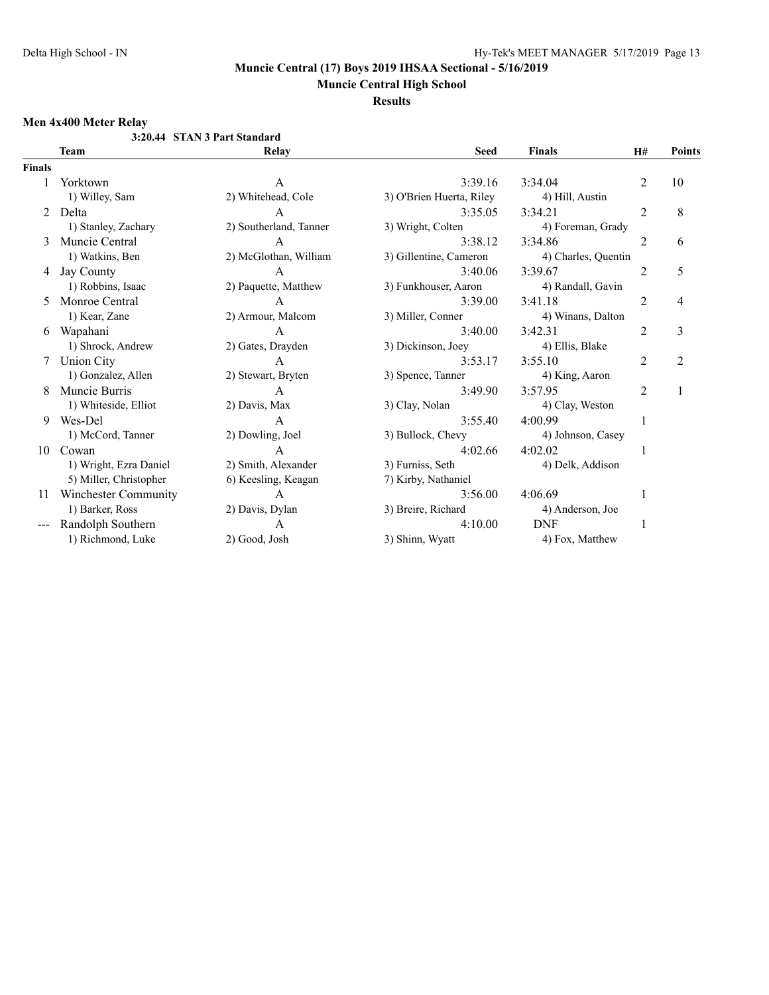**Muncie Central High School**

**Results**

#### **Men 4x400 Meter Relay**

|               |                             | 3:20.44 STAN 3 Part Standard |                          |                     |                |                |
|---------------|-----------------------------|------------------------------|--------------------------|---------------------|----------------|----------------|
|               | <b>Team</b>                 | Relay                        | <b>Seed</b>              | <b>Finals</b>       | <b>H#</b>      | <b>Points</b>  |
| <b>Finals</b> |                             |                              |                          |                     |                |                |
|               | Yorktown                    | A                            | 3:39.16                  | 3:34.04             | 2              | 10             |
|               | 1) Willey, Sam              | 2) Whitehead, Cole           | 3) O'Brien Huerta, Riley | 4) Hill, Austin     |                |                |
| 2             | Delta                       | A                            | 3:35.05                  | 3:34.21             | $\overline{2}$ | 8              |
|               | 1) Stanley, Zachary         | 2) Southerland, Tanner       | 3) Wright, Colten        | 4) Foreman, Grady   |                |                |
| 3             | Muncie Central              | A                            | 3:38.12                  | 3:34.86             | $\overline{2}$ | 6              |
|               | 1) Watkins, Ben             | 2) McGlothan, William        | 3) Gillentine, Cameron   | 4) Charles, Quentin |                |                |
| 4             | Jay County                  | $\mathsf{A}$                 | 3:40.06                  | 3:39.67             | $\overline{2}$ | 5              |
|               | 1) Robbins, Isaac           | 2) Paquette, Matthew         | 3) Funkhouser, Aaron     | 4) Randall, Gavin   |                |                |
| 5.            | Monroe Central              | $\overline{A}$               | 3:39.00                  | 3:41.18             | 2              | 4              |
|               | 1) Kear, Zane               | 2) Armour, Malcom            | 3) Miller, Conner        | 4) Winans, Dalton   |                |                |
| 6             | Wapahani                    | A                            | 3:40.00                  | 3:42.31             | 2              | 3              |
|               | 1) Shrock, Andrew           | 2) Gates, Drayden            | 3) Dickinson, Joey       | 4) Ellis, Blake     |                |                |
|               | <b>Union City</b>           | A                            | 3:53.17                  | 3:55.10             | 2              | $\overline{2}$ |
|               | 1) Gonzalez, Allen          | 2) Stewart, Bryten           | 3) Spence, Tanner        | 4) King, Aaron      |                |                |
| 8             | Muncie Burris               | $\mathsf{A}$                 | 3:49.90                  | 3:57.95             | $\overline{2}$ |                |
|               | 1) Whiteside, Elliot        | 2) Davis, Max                | 3) Clay, Nolan           | 4) Clay, Weston     |                |                |
| 9             | Wes-Del                     | A                            | 3:55.40                  | 4:00.99             |                |                |
|               | 1) McCord, Tanner           | 2) Dowling, Joel             | 3) Bullock, Chevy        | 4) Johnson, Casey   |                |                |
| 10            | Cowan                       | A                            | 4:02.66                  | 4:02.02             |                |                |
|               | 1) Wright, Ezra Daniel      | 2) Smith, Alexander          | 3) Furniss, Seth         | 4) Delk, Addison    |                |                |
|               | 5) Miller, Christopher      | 6) Keesling, Keagan          | 7) Kirby, Nathaniel      |                     |                |                |
| 11            | <b>Winchester Community</b> | A                            | 3:56.00                  | 4:06.69             |                |                |
|               | 1) Barker, Ross             | 2) Davis, Dylan              | 3) Breire, Richard       | 4) Anderson, Joe    |                |                |
|               | Randolph Southern           | A                            | 4:10.00                  | <b>DNF</b>          |                |                |
|               | 1) Richmond, Luke           | 2) Good, Josh                | 3) Shinn, Wyatt          | 4) Fox, Matthew     |                |                |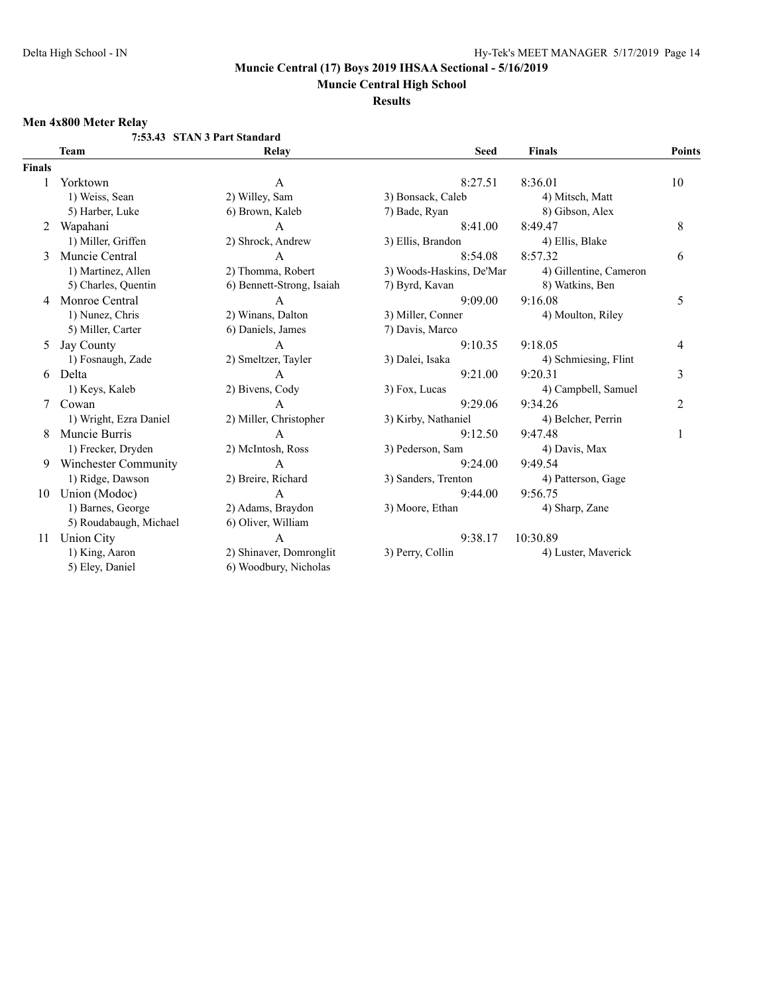**Muncie Central High School**

**Results**

# **Men 4x800 Meter Relay**

|               |                        | 7:53.43 STAN 3 Part Standard |                          |                        |               |
|---------------|------------------------|------------------------------|--------------------------|------------------------|---------------|
|               | Team                   | Relay                        | <b>Seed</b>              | <b>Finals</b>          | <b>Points</b> |
| <b>Finals</b> |                        |                              |                          |                        |               |
|               | Yorktown               | A                            | 8:27.51                  | 8:36.01                | 10            |
|               | 1) Weiss, Sean         | 2) Willey, Sam               | 3) Bonsack, Caleb        | 4) Mitsch, Matt        |               |
|               | 5) Harber, Luke        | 6) Brown, Kaleb              | 7) Bade, Ryan            | 8) Gibson, Alex        |               |
| 2             | Wapahani               | A                            | 8:41.00                  | 8:49.47                | 8             |
|               | 1) Miller, Griffen     | 2) Shrock, Andrew            | 3) Ellis, Brandon        | 4) Ellis, Blake        |               |
| 3             | Muncie Central         | $\overline{A}$               | 8:54.08                  | 8:57.32                | 6             |
|               | 1) Martinez, Allen     | 2) Thomma, Robert            | 3) Woods-Haskins, De'Mar | 4) Gillentine, Cameron |               |
|               | 5) Charles, Quentin    | 6) Bennett-Strong, Isaiah    | 7) Byrd, Kavan           | 8) Watkins, Ben        |               |
| 4             | Monroe Central         | A                            | 9:09.00                  | 9:16.08                | 5             |
|               | 1) Nunez, Chris        | 2) Winans, Dalton            | 3) Miller, Conner        | 4) Moulton, Riley      |               |
|               | 5) Miller, Carter      | 6) Daniels, James            | 7) Davis, Marco          |                        |               |
| 5             | Jay County             | $\overline{A}$               | 9:10.35                  | 9:18.05                | 4             |
|               | 1) Fosnaugh, Zade      | 2) Smeltzer, Tayler          | 3) Dalei, Isaka          | 4) Schmiesing, Flint   |               |
| 6             | Delta                  | A                            | 9:21.00                  | 9:20.31                | 3             |
|               | 1) Keys, Kaleb         | 2) Bivens, Cody              | 3) Fox, Lucas            | 4) Campbell, Samuel    |               |
|               | Cowan                  | A                            | 9:29.06                  | 9:34.26                | 2             |
|               | 1) Wright, Ezra Daniel | 2) Miller, Christopher       | 3) Kirby, Nathaniel      | 4) Belcher, Perrin     |               |
| 8             | Muncie Burris          | A                            | 9:12.50                  | 9:47.48                | 1             |
|               | 1) Frecker, Dryden     | 2) McIntosh, Ross            | 3) Pederson, Sam         | 4) Davis, Max          |               |
| 9             | Winchester Community   | A                            | 9:24.00                  | 9:49.54                |               |
|               | 1) Ridge, Dawson       | 2) Breire, Richard           | 3) Sanders, Trenton      | 4) Patterson, Gage     |               |
| 10            | Union (Modoc)          | $\mathsf{A}$                 | 9:44.00                  | 9:56.75                |               |
|               | 1) Barnes, George      | 2) Adams, Braydon            | 3) Moore, Ethan          | 4) Sharp, Zane         |               |
|               | 5) Roudabaugh, Michael | 6) Oliver, William           |                          |                        |               |
| 11            | <b>Union City</b>      | A                            | 9:38.17                  | 10:30.89               |               |
|               | 1) King, Aaron         | 2) Shinaver, Domronglit      | 3) Perry, Collin         | 4) Luster, Maverick    |               |
|               | 5) Eley, Daniel        | 6) Woodbury, Nicholas        |                          |                        |               |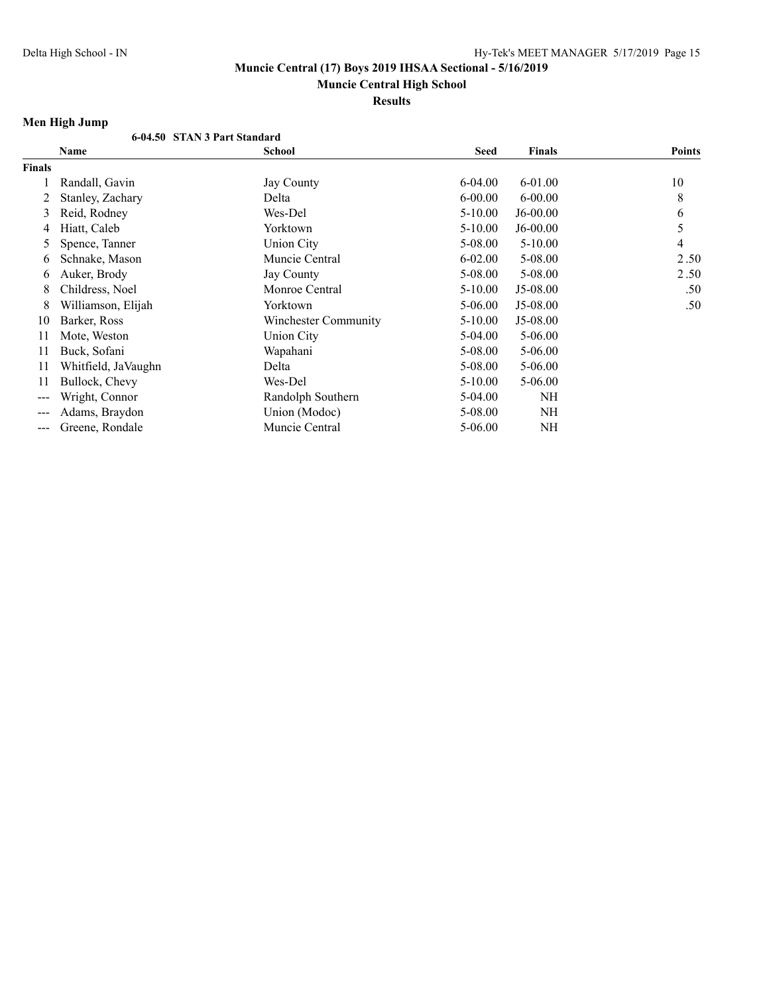# **Muncie Central High School**

**Results**

# **Men High Jump**

|               | 6-04.50 STAN 3 Part Standard |                      |             |               |               |
|---------------|------------------------------|----------------------|-------------|---------------|---------------|
|               | Name                         | <b>School</b>        | Seed        | <b>Finals</b> | <b>Points</b> |
| <b>Finals</b> |                              |                      |             |               |               |
|               | Randall, Gavin               | Jay County           | $6-04.00$   | $6 - 01.00$   | 10            |
| 2             | Stanley, Zachary             | Delta                | $6 - 00.00$ | $6 - 00.00$   | 8             |
| 3             | Reid, Rodney                 | Wes-Del              | $5-10.00$   | $J6-00.00$    | 6             |
| 4             | Hiatt, Caleb                 | Yorktown             | $5 - 10.00$ | $J6-00.00$    | 5             |
| 5             | Spence, Tanner               | <b>Union City</b>    | 5-08.00     | $5 - 10.00$   | 4             |
| 6             | Schnake, Mason               | Muncie Central       | $6 - 02.00$ | 5-08.00       | 2.50          |
| 6             | Auker, Brody                 | Jay County           | 5-08.00     | 5-08.00       | 2.50          |
| 8             | Childress, Noel              | Monroe Central       | $5 - 10.00$ | $J5-08.00$    | .50           |
| 8             | Williamson, Elijah           | Yorktown             | 5-06.00     | J5-08.00      | .50           |
| 10            | Barker, Ross                 | Winchester Community | $5-10.00$   | J5-08.00      |               |
| 11            | Mote, Weston                 | <b>Union City</b>    | $5-04.00$   | $5 - 06.00$   |               |
| 11            | Buck, Sofani                 | Wapahani             | 5-08.00     | $5 - 06.00$   |               |
| 11            | Whitfield, JaVaughn          | Delta                | 5-08.00     | $5 - 06.00$   |               |
| 11            | Bullock, Chevy               | Wes-Del              | $5 - 10.00$ | $5 - 06.00$   |               |
| ---           | Wright, Connor               | Randolph Southern    | 5-04.00     | NH            |               |
| ---           | Adams, Braydon               | Union (Modoc)        | 5-08.00     | NH            |               |
| ---           | Greene, Rondale              | Muncie Central       | $5 - 06.00$ | NH            |               |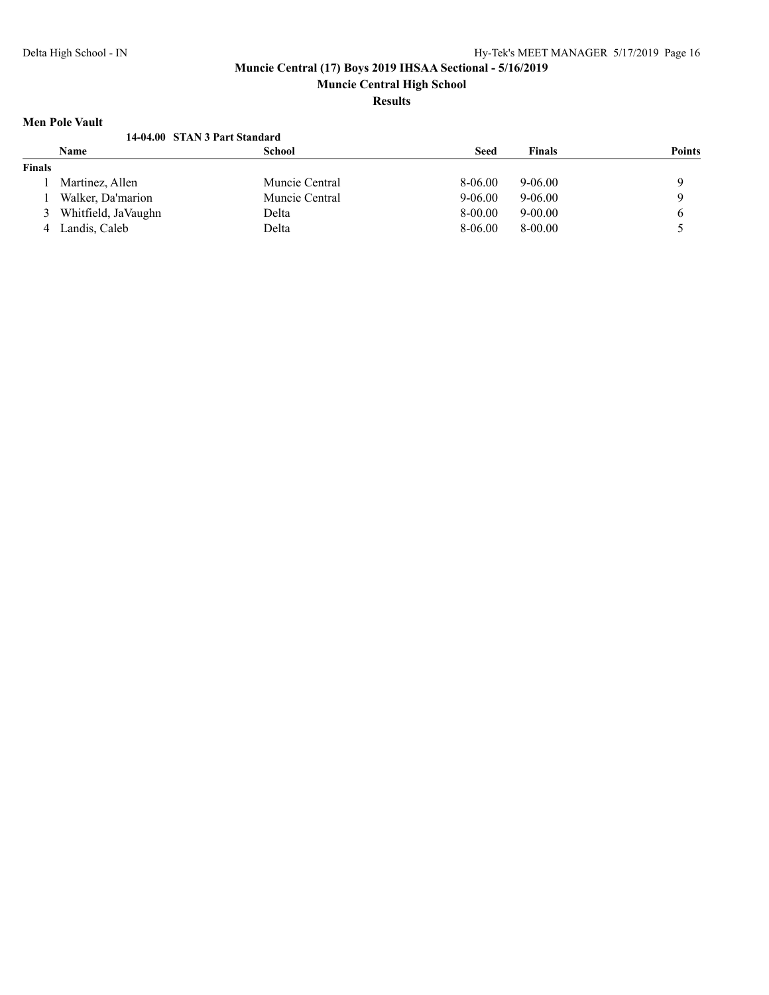# **Muncie Central High School**

# **Results**

### **Men Pole Vault**

|        | nivii 1 viv yaan              |                |             |               |               |
|--------|-------------------------------|----------------|-------------|---------------|---------------|
|        | 14-04.00 STAN 3 Part Standard |                |             |               |               |
|        | <b>Name</b>                   | School         | <b>Seed</b> | <b>Finals</b> | <b>Points</b> |
| Finals |                               |                |             |               |               |
|        | Martinez, Allen               | Muncie Central | 8-06.00     | $9 - 06.00$   |               |
|        | Walker, Da'marion             | Muncie Central | $9 - 06.00$ | $9-06.00$     |               |
| 3      | Whitfield, JaVaughn           | Delta          | 8-00.00     | $9 - 00.00$   |               |
| 4      | Landis, Caleb                 | Delta          | 8-06.00     | $8 - 00.00$   |               |
|        |                               |                |             |               |               |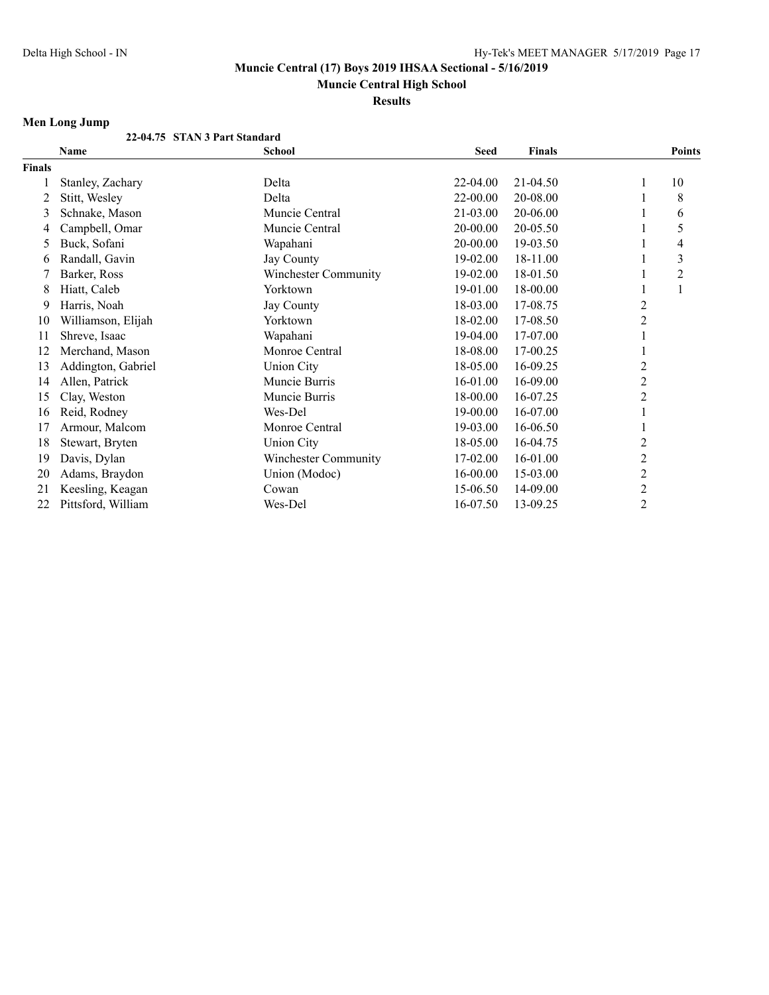**Muncie Central High School**

**Results**

# **Men Long Jump**

|               | 22-04.75 STAN 3 Part Standard |                             |             |               |                         |                |
|---------------|-------------------------------|-----------------------------|-------------|---------------|-------------------------|----------------|
|               | <b>Name</b>                   | <b>School</b>               | <b>Seed</b> | <b>Finals</b> |                         | <b>Points</b>  |
| <b>Finals</b> |                               |                             |             |               |                         |                |
|               | Stanley, Zachary              | Delta                       | 22-04.00    | 21-04.50      | T                       | 10             |
| 2             | Stitt, Wesley                 | Delta                       | 22-00.00    | 20-08.00      |                         | 8              |
| 3             | Schnake, Mason                | Muncie Central              | 21-03.00    | 20-06.00      |                         | 6              |
| 4             | Campbell, Omar                | Muncie Central              | 20-00.00    | 20-05.50      |                         | 5              |
| 5             | Buck, Sofani                  | Wapahani                    | 20-00.00    | 19-03.50      |                         | 4              |
| 6             | Randall, Gavin                | Jay County                  | 19-02.00    | 18-11.00      |                         | 3              |
|               | Barker, Ross                  | Winchester Community        | 19-02.00    | 18-01.50      |                         | $\overline{c}$ |
| 8             | Hiatt, Caleb                  | Yorktown                    | 19-01.00    | 18-00.00      |                         |                |
| 9             | Harris, Noah                  | Jay County                  | 18-03.00    | 17-08.75      | $\overline{c}$          |                |
| 10            | Williamson, Elijah            | Yorktown                    | 18-02.00    | 17-08.50      | $\overline{c}$          |                |
| 11            | Shreve, Isaac                 | Wapahani                    | 19-04.00    | 17-07.00      |                         |                |
| 12            | Merchand, Mason               | Monroe Central              | 18-08.00    | 17-00.25      |                         |                |
| 13            | Addington, Gabriel            | <b>Union City</b>           | 18-05.00    | 16-09.25      | $\overline{c}$          |                |
| 14            | Allen, Patrick                | Muncie Burris               | 16-01.00    | 16-09.00      | $\overline{c}$          |                |
| 15            | Clay, Weston                  | Muncie Burris               | 18-00.00    | 16-07.25      | $\overline{c}$          |                |
| 16            | Reid, Rodney                  | Wes-Del                     | 19-00.00    | 16-07.00      |                         |                |
| 17            | Armour, Malcom                | Monroe Central              | 19-03.00    | 16-06.50      |                         |                |
| 18            | Stewart, Bryten               | <b>Union City</b>           | 18-05.00    | 16-04.75      | 2                       |                |
| 19            | Davis, Dylan                  | <b>Winchester Community</b> | 17-02.00    | 16-01.00      | $\overline{2}$          |                |
| 20            | Adams, Braydon                | Union (Modoc)               | 16-00.00    | 15-03.00      | $\overline{2}$          |                |
| 21            | Keesling, Keagan              | Cowan                       | 15-06.50    | 14-09.00      | $\overline{\mathbf{c}}$ |                |
| 22            | Pittsford, William            | Wes-Del                     | 16-07.50    | 13-09.25      | $\overline{c}$          |                |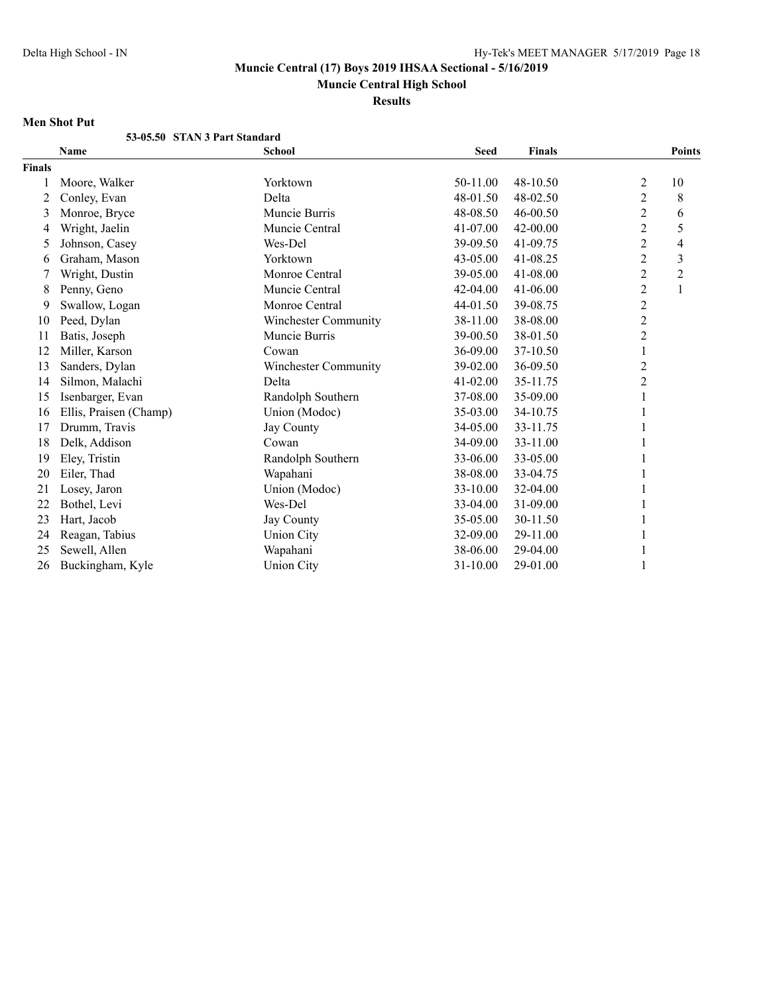**Muncie Central High School**

**Results**

### **Men Shot Put**

|               | 53-05.50 STAN 3 Part Standard |                             |             |               |                |                          |
|---------------|-------------------------------|-----------------------------|-------------|---------------|----------------|--------------------------|
|               | Name                          | <b>School</b>               | <b>Seed</b> | <b>Finals</b> |                | <b>Points</b>            |
| <b>Finals</b> |                               |                             |             |               |                |                          |
|               | Moore, Walker                 | Yorktown                    | 50-11.00    | 48-10.50      | $\overline{2}$ | 10                       |
| 2             | Conley, Evan                  | Delta                       | 48-01.50    | 48-02.50      | $\overline{2}$ | 8                        |
| 3             | Monroe, Bryce                 | Muncie Burris               | 48-08.50    | 46-00.50      | $\overline{c}$ | 6                        |
| 4             | Wright, Jaelin                | Muncie Central              | 41-07.00    | 42-00.00      | $\overline{2}$ | 5                        |
| 5             | Johnson, Casey                | Wes-Del                     | 39-09.50    | 41-09.75      | $\overline{2}$ | $\overline{\mathcal{A}}$ |
| 6             | Graham, Mason                 | Yorktown                    | 43-05.00    | 41-08.25      | $\overline{c}$ | $\overline{3}$           |
| 7             | Wright, Dustin                | Monroe Central              | 39-05.00    | 41-08.00      | $\overline{c}$ | $\sqrt{2}$               |
| 8             | Penny, Geno                   | Muncie Central              | 42-04.00    | 41-06.00      | $\overline{2}$ | $\mathbf{1}$             |
| 9             | Swallow, Logan                | Monroe Central              | 44-01.50    | 39-08.75      | $\overline{2}$ |                          |
| 10            | Peed, Dylan                   | <b>Winchester Community</b> | 38-11.00    | 38-08.00      | $\overline{c}$ |                          |
| 11            | Batis, Joseph                 | Muncie Burris               | 39-00.50    | 38-01.50      | $\mathbf{2}$   |                          |
| 12            | Miller, Karson                | Cowan                       | 36-09.00    | 37-10.50      | $\mathbf{1}$   |                          |
| 13            | Sanders, Dylan                | <b>Winchester Community</b> | 39-02.00    | 36-09.50      | $\overline{c}$ |                          |
| 14            | Silmon, Malachi               | Delta                       | 41-02.00    | 35-11.75      | $\overline{c}$ |                          |
| 15            | Isenbarger, Evan              | Randolph Southern           | 37-08.00    | 35-09.00      | 1              |                          |
| 16            | Ellis, Praisen (Champ)        | Union (Modoc)               | 35-03.00    | 34-10.75      |                |                          |
| 17            | Drumm, Travis                 | <b>Jay County</b>           | 34-05.00    | 33-11.75      |                |                          |
| 18            | Delk, Addison                 | Cowan                       | 34-09.00    | 33-11.00      |                |                          |
| 19            | Eley, Tristin                 | Randolph Southern           | 33-06.00    | 33-05.00      |                |                          |
| 20            | Eiler, Thad                   | Wapahani                    | 38-08.00    | 33-04.75      | 1              |                          |
| 21            | Losey, Jaron                  | Union (Modoc)               | 33-10.00    | 32-04.00      |                |                          |
| 22            | Bothel, Levi                  | Wes-Del                     | 33-04.00    | 31-09.00      | 1              |                          |
| 23            | Hart, Jacob                   | Jay County                  | 35-05.00    | 30-11.50      |                |                          |
| 24            | Reagan, Tabius                | <b>Union City</b>           | 32-09.00    | 29-11.00      |                |                          |
| 25            | Sewell, Allen                 | Wapahani                    | 38-06.00    | 29-04.00      |                |                          |
| 26            | Buckingham, Kyle              | <b>Union City</b>           | 31-10.00    | 29-01.00      |                |                          |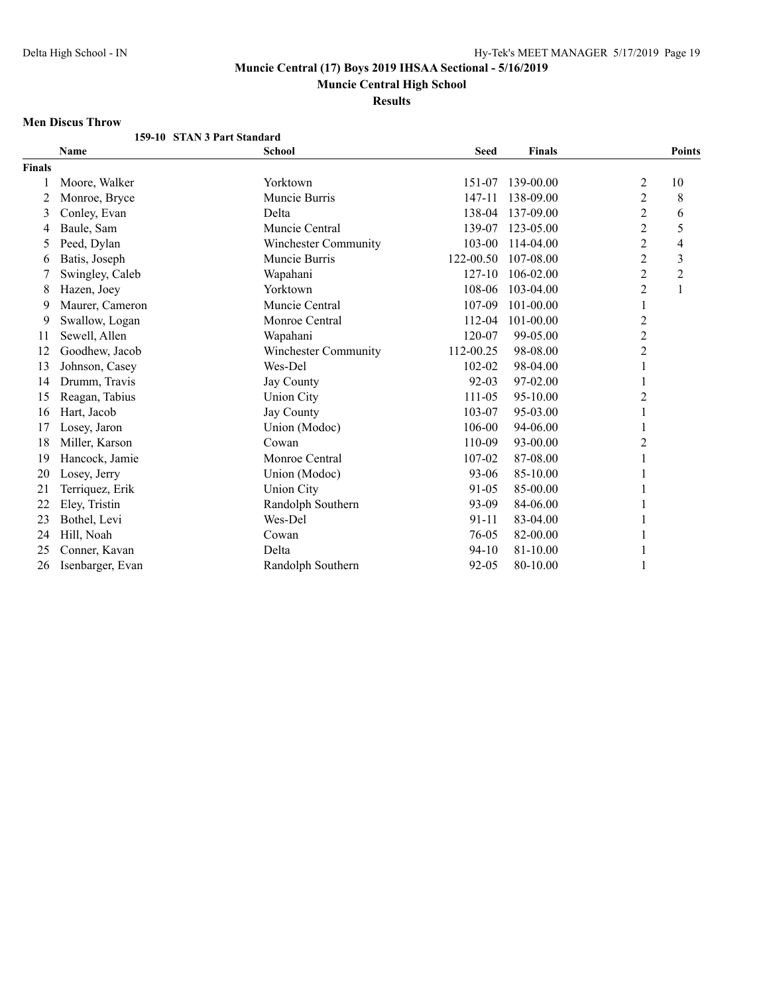**Muncie Central High School**

**Results**

## **Men Discus Throw**

|               | 159-10 STAN 3 Part Standard |                      |             |               |                  |                |
|---------------|-----------------------------|----------------------|-------------|---------------|------------------|----------------|
|               | <b>Name</b>                 | School               | <b>Seed</b> | <b>Finals</b> |                  | <b>Points</b>  |
| <b>Finals</b> |                             |                      |             |               |                  |                |
|               | Moore, Walker               | Yorktown             | 151-07      | 139-00.00     | $\overline{c}$   | 10             |
| 2             | Monroe, Bryce               | Muncie Burris        | 147-11      | 138-09.00     | $\overline{2}$   | 8              |
| 3             | Conley, Evan                | Delta                | 138-04      | 137-09.00     | $\overline{c}$   | 6              |
| 4             | Baule, Sam                  | Muncie Central       | 139-07      | 123-05.00     | $\overline{2}$   | 5              |
| 5             | Peed, Dylan                 | Winchester Community | 103-00      | 114-04.00     | $\overline{c}$   | 4              |
| 6             | Batis, Joseph               | Muncie Burris        | 122-00.50   | 107-08.00     | $\overline{c}$   | 3              |
|               | Swingley, Caleb             | Wapahani             | 127-10      | 106-02.00     | $\boldsymbol{2}$ | $\overline{c}$ |
| 8             | Hazen, Joey                 | Yorktown             | 108-06      | 103-04.00     | 2                | $\mathbf{1}$   |
| 9             | Maurer, Cameron             | Muncie Central       | 107-09      | 101-00.00     | $\mathbf{1}$     |                |
| 9             | Swallow, Logan              | Monroe Central       | 112-04      | 101-00.00     | 2                |                |
| 11            | Sewell, Allen               | Wapahani             | 120-07      | 99-05.00      | $\overline{c}$   |                |
| 12            | Goodhew, Jacob              | Winchester Community | 112-00.25   | 98-08.00      | $\overline{c}$   |                |
| 13            | Johnson, Casey              | Wes-Del              | 102-02      | 98-04.00      | $\mathbf{1}$     |                |
| 14            | Drumm, Travis               | Jay County           | 92-03       | 97-02.00      | 1                |                |
| 15            | Reagan, Tabius              | <b>Union City</b>    | 111-05      | 95-10.00      | $\overline{c}$   |                |
| 16            | Hart, Jacob                 | <b>Jay County</b>    | 103-07      | 95-03.00      | 1                |                |
| 17            | Losey, Jaron                | Union (Modoc)        | 106-00      | 94-06.00      | 1                |                |
| 18            | Miller, Karson              | Cowan                | 110-09      | 93-00.00      | $\overline{c}$   |                |
| 19            | Hancock, Jamie              | Monroe Central       | 107-02      | 87-08.00      | 1                |                |
| 20            | Losey, Jerry                | Union (Modoc)        | 93-06       | 85-10.00      | 1                |                |
| 21            | Terriquez, Erik             | <b>Union City</b>    | 91-05       | 85-00.00      |                  |                |
| 22            | Eley, Tristin               | Randolph Southern    | 93-09       | 84-06.00      | 1                |                |
| 23            | Bothel, Levi                | Wes-Del              | 91-11       | 83-04.00      |                  |                |
| 24            | Hill, Noah                  | Cowan                | 76-05       | 82-00.00      | 1                |                |
| 25            | Conner, Kavan               | Delta                | $94 - 10$   | 81-10.00      |                  |                |
| 26            | Isenbarger, Evan            | Randolph Southern    | 92-05       | 80-10.00      |                  |                |